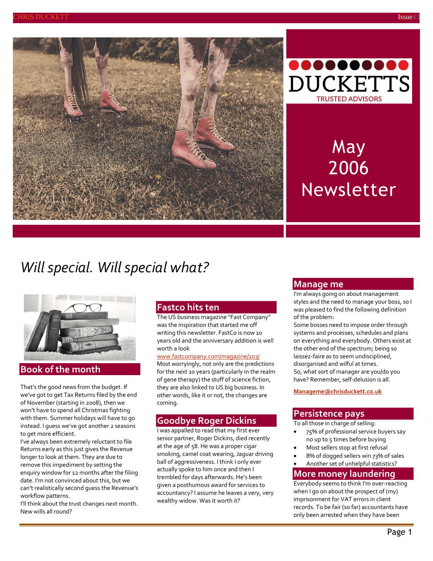



# May 2006 Newsletter

## *Will special. Will special what?*



## **Book of the month**

That's the good news from the budget. If we've got to get Tax Returns filed by the end of November (starting in 2008), then we won't have to spend all Christmas fighting with them. Summer holidays will have to go instead. I guess we've got another 2 seasons to get more efficient.

I've always been extremely reluctant to file Returns early as this just gives the Revenue longer to look at them. They are due to remove this impediment by setting the enquiry window for 12 months after the filing date. I'm not convinced about this, but we can't realistically second guess the Revenue's workflow patterns.

I'll think about the trust changes next month. New wills all round?

## **Fastco hits ten**

The US business magazine "Fast Company" was the inspiration that started me off writing this newsletter. FastCo is now 10 years old and the anniversary addition is well worth a look

#### [www.fastcompany.com/magazine/103/](http://www.fastcompany.com/magazine/103/)

Most worryingly, not only are the predictions for the next 10 years (particularly in the realm of gene therapy) the stuff of science fiction, they are also linked to US big business. In other words, like it or not, the changes are coming.

## **Goodbye Roger Dickins**

I was appalled to read that my first ever senior partner, Roger Dickins, died recently at the age of 58. He was a proper cigar smoking, camel coat wearing, Jaguar driving ball of aggressiveness. I think I only ever actually spoke to him once and then I trembled for days afterwards. He's been given a posthumous award for services to accountancy? I assume he leaves a very, very wealthy widow. Was it worth it?

### **Manage me**

I'm always going on about management styles and the need to manage your boss, so I was pleased to find the following definition of the problem:

Some bosses need to impose order through systems and processes, schedules and plans on everything and everybody. Others exist at the other end of the spectrum; being so laissez-faire as to seem undisciplined, disorganised and wilful at times. So, what sort of manager are you/do you have? Remember, self-delusion is all.

**[Manageme@chrisduckett.co.uk](mailto:Manageme@chrisduckett.co.uk)**

## **Persistence pays**

To all those in charge of selling:

- 75% of professional service buyers say no up to 5 times before buying
- Most sellers stop at first refusal
- 8% of dogged sellers win 73% of sales
- Another set of unhelpful statistics?

## **More money laundering**

Everybody seems to think I'm over-reacting when I go on about the prospect of (my) imprisonment for VAT errors in client records. To be fair (so far) accountants have only been arrested when they have been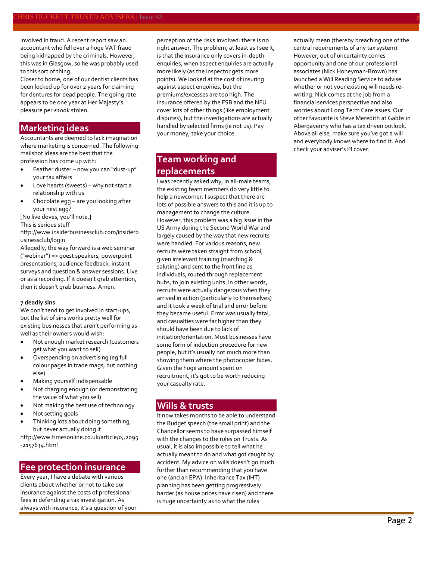involved in fraud. A recent report saw an accountant who fell over a huge VAT fraud being kidnapped by the criminals. However, this was in Glasgow, so he was probably used to this sort of thing.

Closer to home, one of our dentist clients has been locked up for over 2 years for claiming for dentures for dead people. The going rate appears to be one year at Her Majesty's pleasure per £100k stolen.

## **Marketing ideas**

Accountants are deemed to lack imagination where marketing is concerned. The following mailshot ideas are the best that the profession has come up with:

- Feather duster now you can "dust-up" your tax affairs
- Love hearts (sweets) why not start a relationship with us
- Chocolate egg are you looking after your nest egg?

[No live doves, you'll note.]

This is serious stuff

[http://www.insiderbusinessclub.com/insiderb](http://www.insiderbusinessclub.com/insiderbusinessclub/login) [usinessclub/login](http://www.insiderbusinessclub.com/insiderbusinessclub/login)

Allegedly, the way forward is a web seminar ("webinar") => guest speakers, powerpoint presentations, audience feedback, instant surveys and question & answer sessions. Live or as a recording. If it doesn't grab attention, then it doesn't grab business. Amen.

#### **7 deadly sins**

We don't tend to get involved in start-ups, but the list of sins works pretty well for existing businesses that aren't performing as well as their owners would wish:

- Not enough market research (customers get what you want to sell)
- Overspending on advertising (eg full colour pages in trade mags, but nothing else)
- Making yourself indispensable
- Not charging enough (or demonstrating the value of what you sell)
- Not making the best use of technology
- Not setting goals
- Thinking lots about doing something, but never actually doing it

[http://www.timesonline.co.uk/article/0,,2095](http://www.timesonline.co.uk/article/0,,2095-2157634.html) [-2157634.html](http://www.timesonline.co.uk/article/0,,2095-2157634.html)

### **Fee protection insurance**

Every year, I have a debate with various clients about whether or not to take our insurance against the costs of professional fees in defending a tax investigation. As always with insurance, it's a question of your perception of the risks involved: there is no right answer. The problem, at least as I see it, is that the insurance only covers in-depth enquiries, when aspect enquiries are actually more likely (as the Inspector gets more points). We looked at the cost of insuring against aspect enquiries, but the premiums/excesses are too high. The insurance offered by the FSB and the NFU cover lots of other things (like employment disputes), but the investigations are actually handled by selected firms (ie not us). Pay your money; take your choice.

## **Team working and replacements**

I was recently asked why, in all-male teams, the existing team members do very little to help a newcomer. I suspect that there are lots of possible answers to this and it is up to management to change the culture. However, this problem was a big issue in the US Army during the Second World War and largely caused by the way that new recruits were handled. For various reasons, new recruits were taken straight from school, given irrelevant training (marching & saluting) and sent to the front line as individuals, routed through replacement hubs, to join existing units. In other words, recruits were actually dangerous when they arrived in action (particularly to themselves) and it took a week of trial and error before they became useful. Error was usually fatal, and casualties were far higher than they should have been due to lack of initiation/orientation. Most businesses have some form of induction procedure for new people, but it's usually not much more than showing them where the photocopier hides. Given the huge amount spent on recruitment, it's got to be worth reducing your casualty rate.

## **Wills & trusts**

It now takes months to be able to understand the Budget speech (the small print) and the Chancellor seems to have surpassed himself with the changes to the rules on Trusts. As usual, it is also impossible to tell what he actually meant to do and what got caught by accident. My advice on wills doesn't go much further than recommending that you have one (and an EPA). Inheritance Tax (IHT) planning has been getting progressively harder (as house prices have risen) and there is huge uncertainty as to what the rules

actually mean (thereby breaching one of the central requirements of any tax system). However, out of uncertainty comes opportunity and one of our professional associates (Nick Honeyman-Brown) has launched a Will Reading Service to advise whether or not your existing will needs rewriting. Nick comes at the job from a financial services perspective and also worries about Long Term Care issues. Our other favourite is Steve Meredith at Gabbs in Abergavenny who has a tax driven outlook. Above all else, make sure you've got a will and everybody knows where to find it. And check your adviser's PI cover.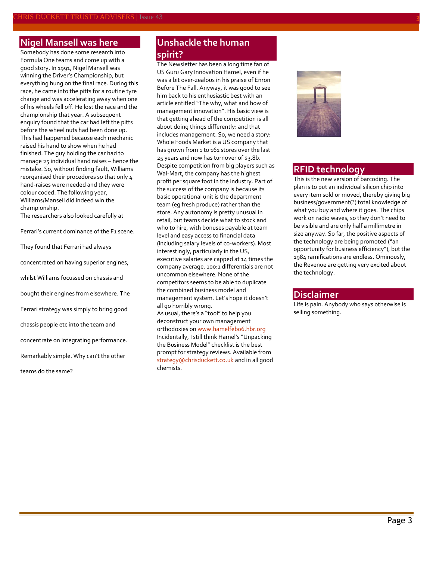## **Nigel Mansell was here**

Somebody has done some research into Formula One teams and come up with a good story. In 1991, Nigel Mansell was winning the Driver's Championship, but everything hung on the final race. During this race, he came into the pitts for a routine tyre change and was accelerating away when one of his wheels fell off. He lost the race and the championship that year. A subsequent enquiry found that the car had left the pitts before the wheel nuts had been done up. This had happened because each mechanic raised his hand to show when he had finished. The guy holding the car had to manage 25 individual hand raises – hence the mistake. So, without finding fault, Williams reorganised their procedures so that only 4 hand-raises were needed and they were colour coded. The following year, Williams/Mansell did indeed win the championship.

The researchers also looked carefully at

Ferrari's current dominance of the F1 scene.

They found that Ferrari had always

concentrated on having superior engines,

whilst Williams focussed on chassis and

bought their engines from elsewhere. The

Ferrari strategy was simply to bring good

chassis people etc into the team and

concentrate on integrating performance.

Remarkably simple. Why can't the other

teams do the same?

## **Unshackle the human spirit?**

The Newsletter has been a long time fan of US Guru Gary Innovation Hamel, even if he was a bit over-zealous in his praise of Enron Before The Fall. Anyway, it was good to see him back to his enthusiastic best with an article entitled "The why, what and how of management innovation". His basic view is that getting ahead of the competition is all about doing things differently: and that includes management. So, we need a story: Whole Foods Market is a US company that has grown from 1 to 161 stores over the last 25 years and now has turnover of \$3.8b. Despite competition from big players such as Wal-Mart, the company has the highest profit per square foot in the industry. Part of the success of the company is because its basic operational unit is the department team (eg fresh produce) rather than the store. Any autonomy is pretty unusual in retail, but teams decide what to stock and who to hire, with bonuses payable at team level and easy access to financial data (including salary levels of co-workers). Most interestingly, particularly in the US, executive salaries are capped at 14 times the company average. 100:1 differentials are not uncommon elsewhere. None of the competitors seems to be able to duplicate the combined business model and management system. Let's hope it doesn't all go horribly wrong.

As usual, there's a "tool" to help you deconstruct your own management orthodoxies on www.hamelfebo6.hbr.org Incidentally, I still think Hamel's "Unpacking the Business Model" checklist is the best prompt for strategy reviews. Available from [strategy@chrisduckett.co.uk](mailto:strategy@chrisduckett.co.uk) and in all good chemists.



## **RFID technology**

This is the new version of barcoding. The plan is to put an individual silicon chip into every item sold or moved, thereby giving big business/government(?) total knowledge of what you buy and where it goes. The chips work on radio waves, so they don't need to be visible and are only half a millimetre in size anyway. So far, the positive aspects of the technology are being promoted ("an opportunity for business efficiency"), but the 1984 ramifications are endless. Ominously, the Revenue are getting very excited about the technology.

#### **Disclaimer**

Life is pain. Anybody who says otherwise is selling something.